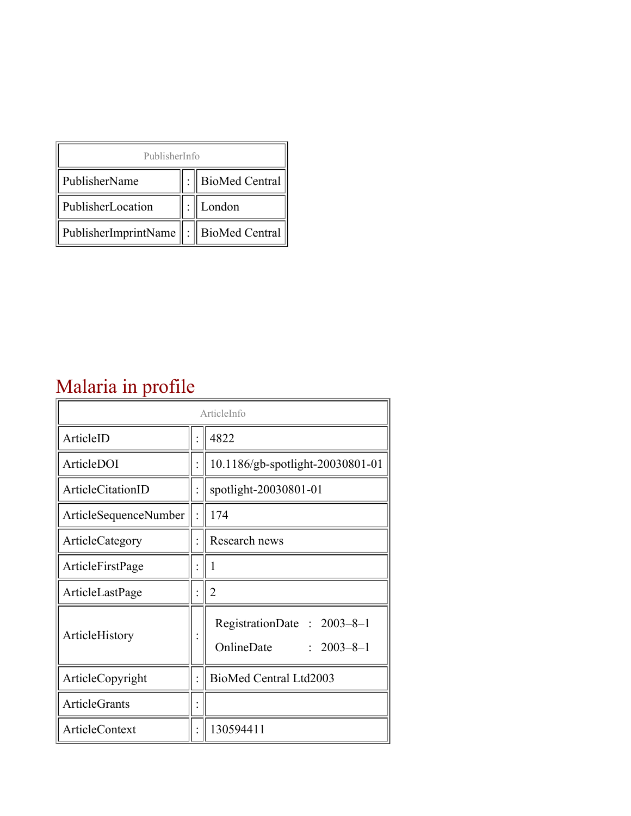| PublisherInfo                               |  |                    |  |  |
|---------------------------------------------|--|--------------------|--|--|
| PublisherName                               |  | :   BioMed Central |  |  |
| PublisherLocation                           |  | London             |  |  |
| PublisherImprintName    :    BioMed Central |  |                    |  |  |

## Malaria in profile

| ArticleInfo                  |  |                                                              |
|------------------------------|--|--------------------------------------------------------------|
| ArticleID                    |  | 4822                                                         |
| ArticleDOI                   |  | 10.1186/gb-spotlight-20030801-01                             |
| ArticleCitationID            |  | spotlight-20030801-01                                        |
| <b>ArticleSequenceNumber</b> |  | 174                                                          |
| ArticleCategory              |  | Research news                                                |
| ArticleFirstPage             |  | 1                                                            |
| ArticleLastPage              |  | $\overline{2}$                                               |
| ArticleHistory               |  | RegistrationDate: 2003-8-1<br>OnlineDate<br>$: 2003 - 8 - 1$ |
| ArticleCopyright             |  | BioMed Central Ltd2003                                       |
| <b>ArticleGrants</b>         |  |                                                              |
| <b>ArticleContext</b>        |  | 130594411                                                    |